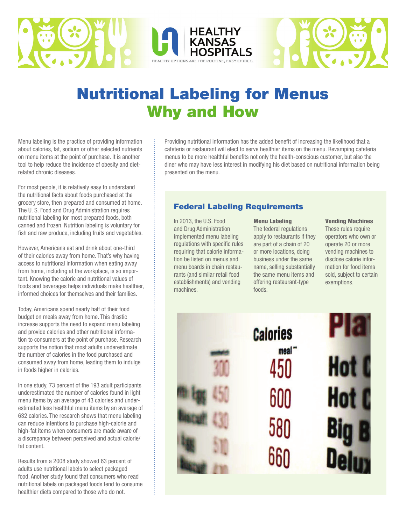



# Nutritional Labeling for Menus Why and How

Menu labeling is the practice of providing information about calories, fat, sodium or other selected nutrients on menu items at the point of purchase. It is another tool to help reduce the incidence of obesity and dietrelated chronic diseases.

For most people, it is relatively easy to understand the nutritional facts about foods purchased at the grocery store, then prepared and consumed at home. The U. S. Food and Drug Administration requires nutritional labeling for most prepared foods, both canned and frozen. Nutrition labeling is voluntary for fish and raw produce, including fruits and vegetables.

However, Americans eat and drink about one-third of their calories away from home. That's why having access to nutritional information when eating away from home, including at the workplace, is so important. Knowing the caloric and nutritional values of foods and beverages helps individuals make healthier, informed choices for themselves and their families.

Today, Americans spend nearly half of their food budget on meals away from home. This drastic increase supports the need to expand menu labeling and provide calories and other nutritional information to consumers at the point of purchase. Research supports the notion that most adults underestimate the number of calories in the food purchased and consumed away from home, leading them to indulge in foods higher in calories.

In one study, 73 percent of the 193 adult participants underestimated the number of calories found in light menu items by an average of 43 calories and underestimated less healthful menu items by an average of 632 calories. The research shows that menu labeling can reduce intentions to purchase high-calorie and high-fat items when consumers are made aware of a discrepancy between perceived and actual calorie/ fat content.

Results from a 2008 study showed 63 percent of adults use nutritional labels to select packaged food. Another study found that consumers who read nutritional labels on packaged foods tend to consume healthier diets compared to those who do not.

Providing nutritional information has the added benefit of increasing the likelihood that a cafeteria or restaurant will elect to serve healthier items on the menu. Revamping cafeteria menus to be more healthful benefits not only the health-conscious customer, but also the diner who may have less interest in modifying his diet based on nutritional information being presented on the menu.

### Federal Labeling Requirements

In 2013, the U.S. Food and Drug Administration implemented menu labeling regulations with specific rules requiring that calorie information be listed on menus and menu boards in chain restaurants (and similar retail food establishments) and vending machines.

#### Menu Labeling

The federal regulations apply to restaurants if they are part of a chain of 20 or more locations, doing business under the same name, selling substantially the same menu items and offering restaurant-type foods.

#### Vending Machines

These rules require operators who own or operate 20 or more vending machines to disclose calorie information for food items sold, subject to certain exemptions.